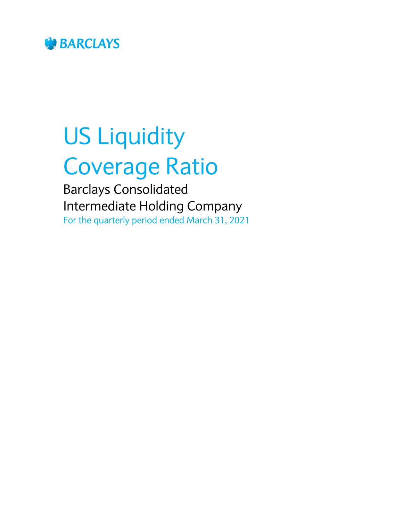

# US Liquidity Coverage Ratio

Barclays Consolidated Intermediate Holding Company For the quarterly period ended March 31, 2021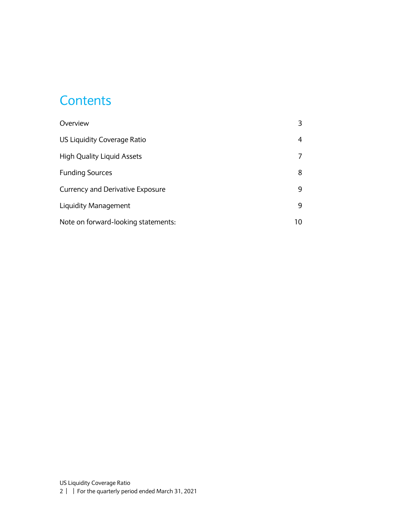#### **Contents**

| Overview                                |    |
|-----------------------------------------|----|
| US Liquidity Coverage Ratio             | 4  |
| <b>High Quality Liquid Assets</b>       |    |
| <b>Funding Sources</b>                  | 8  |
| <b>Currency and Derivative Exposure</b> | 9  |
| Liquidity Management                    | 9  |
| Note on forward-looking statements:     | 10 |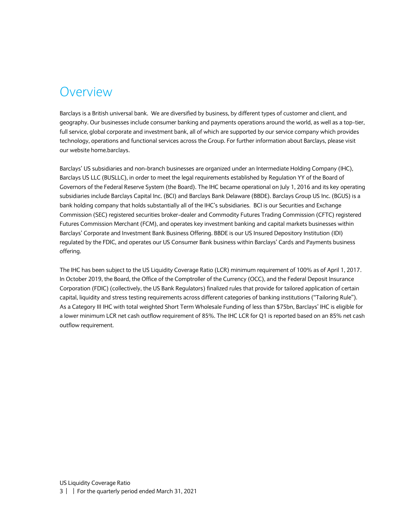#### <span id="page-2-0"></span>Overview

Barclays is a British universal bank. We are diversified by business, by different types of customer and client, and geography. Our businesses include consumer banking and payments operations around the world, as well as a top-tier, full service, global corporate and investment bank, all of which are supported by our service company which provides technology, operations and functional services across the Group. For further information about Barclays, please visit our website home.barclays.

Barclays' US subsidiaries and non-branch businesses are organized under an Intermediate Holding Company (IHC), Barclays US LLC (BUSLLC), in order to meet the legal requirements established by Regulation YY of the Board of Governors of the Federal Reserve System (the Board). The IHC became operational on July 1, 2016 and its key operating subsidiaries include Barclays Capital Inc. (BCI) and Barclays Bank Delaware (BBDE). Barclays Group US Inc. (BGUS) is a bank holding company that holds substantially all of the IHC's subsidiaries. BCI is our Securities and Exchange Commission (SEC) registered securities broker-dealer and Commodity Futures Trading Commission (CFTC) registered Futures Commission Merchant (FCM), and operates key investment banking and capital markets businesses within Barclays' Corporate and Investment Bank Business Offering. BBDE is our US Insured Depository Institution (IDI) regulated by the FDIC, and operates our US Consumer Bank business within Barclays' Cards and Payments business offering.

The IHC has been subject to the US Liquidity Coverage Ratio (LCR) minimum requirement of 100% as of April 1, 2017. In October 2019, the Board, the Office of the Comptroller of the Currency (OCC), and the Federal Deposit Insurance Corporation (FDIC) (collectively, the US Bank Regulators) finalized rules that provide for tailored application of certain capital, liquidity and stress testing requirements across different categories of banking institutions ("Tailoring Rule"). As a Category III IHC with total weighted Short Term Wholesale Funding of less than \$75bn, Barclays' IHC is eligible for a lower minimum LCR net cash outflow requirement of 85%. The IHC LCR for Q1 is reported based on an 85% net cash outflow requirement.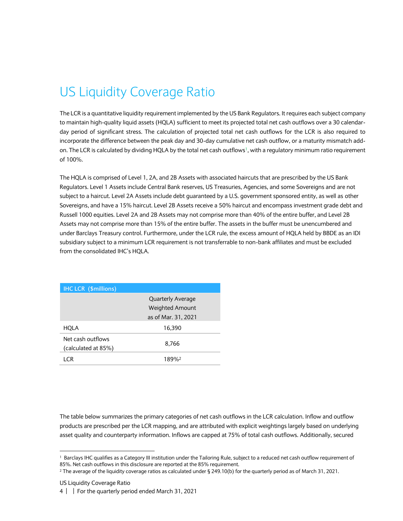## <span id="page-3-0"></span>US Liquidity Coverage Ratio

The LCR is a quantitative liquidity requirement implemented by the US Bank Regulators. It requires each subject company to maintain high-quality liquid assets (HQLA) sufficient to meet its projected total net cash outflows over a 30 calendarday period of significant stress. The calculation of projected total net cash outflows for the LCR is also required to incorporate the difference between the peak day and 30-day cumulative net cash outflow, or a maturity mismatch addon. The LCR is calculated by dividing HQLA by the total net cash outflows<sup>1</sup>, with a regulatory minimum ratio requirement of 100%.

The HQLA is comprised of Level 1, 2A, and 2B Assets with associated haircuts that are prescribed by the US Bank Regulators. Level 1 Assets include Central Bank reserves, US Treasuries, Agencies, and some Sovereigns and are not subject to a haircut. Level 2A Assets include debt guaranteed by a U.S. government sponsored entity, as well as other Sovereigns, and have a 15% haircut. Level 2B Assets receive a 50% haircut and encompass investment grade debt and Russell 1000 equities. Level 2A and 2B Assets may not comprise more than 40% of the entire buffer, and Level 2B Assets may not comprise more than 15% of the entire buffer. The assets in the buffer must be unencumbered and under Barclays Treasury control. Furthermore, under the LCR rule, the excess amount of HQLA held by BBDE as an IDI subsidiary subject to a minimum LCR requirement is not transferrable to non-bank affiliates and must be excluded from the consolidated IHC's HQLA.

| <b>IHC LCR (\$millions)</b> |                          |  |
|-----------------------------|--------------------------|--|
|                             | <b>Quarterly Average</b> |  |
|                             | <b>Weighted Amount</b>   |  |
|                             | as of Mar. 31, 2021      |  |
| HQLA                        | 16,390                   |  |
| Net cash outflows           | 8,766                    |  |
| (calculated at 85%)         |                          |  |
| I CR                        | 189%                     |  |

The table below summarizes the primary categories of net cash outflows in the LCR calculation. Inflow and outflow products are prescribed per the LCR mapping, and are attributed with explicit weightings largely based on underlying asset quality and counterparty information. Inflows are capped at 75% of total cash outflows. Additionally, secured

1

<sup>1</sup> Barclays IHC qualifies as a Category III institution under the Tailoring Rule, subject to a reduced net cash outflow requirement of 85%. Net cash outflows in this disclosure are reported at the 85% requirement.

<sup>2</sup> The average of the liquidity coverage ratios as calculated under § 249.10(b) for the quarterly period as of March 31, 2021.

US Liquidity Coverage Ratio

<sup>4</sup> | | For the quarterly period ended March 31, 2021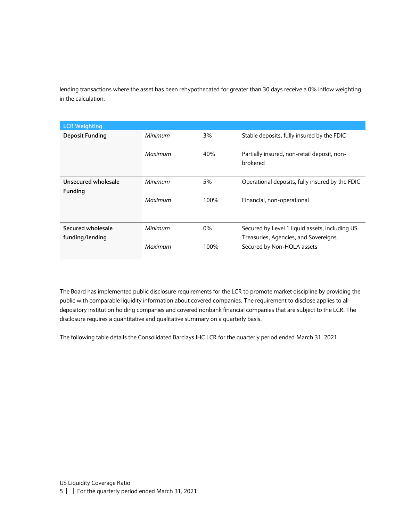lending transactions where the asset has been rehypothecated for greater than 30 days receive a 0% inflow weighting in the calculation.

| <b>LCR Weighting</b>   |         |       |                                                         |
|------------------------|---------|-------|---------------------------------------------------------|
| <b>Deposit Funding</b> | Minimum | 3%    | Stable deposits, fully insured by the FDIC              |
|                        | Maximum | 40%   | Partially insured, non-retail deposit, non-<br>brokered |
| Unsecured wholesale    | Minimum | 5%    | Operational deposits, fully insured by the FDIC         |
| <b>Funding</b>         |         |       |                                                         |
|                        | Maximum | 100%  | Financial, non-operational                              |
| Secured wholesale      | Minimum | $0\%$ | Secured by Level 1 liquid assets, including US          |
| funding/lending        |         |       | Treasuries, Agencies, and Sovereigns.                   |
|                        | Maximum | 100%  | Secured by Non-HQLA assets                              |

The Board has implemented public disclosure requirements for the LCR to promote market discipline by providing the public with comparable liquidity information about covered companies. The requirement to disclose applies to all depository institution holding companies and covered nonbank financial companies that are subject to the LCR. The disclosure requires a quantitative and qualitative summary on a quarterly basis.

The following table details the Consolidated Barclays IHC LCR for the quarterly period ended March 31, 2021.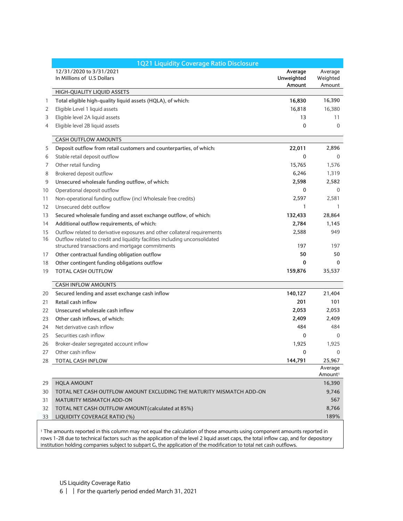|    | 1Q21 Liquidity Coverage Ratio Disclosure                                    |                                 |                                |
|----|-----------------------------------------------------------------------------|---------------------------------|--------------------------------|
|    | 12/31/2020 to 3/31/2021<br>In Millions of U.S Dollars                       | Average<br>Unweighted<br>Amount | Average<br>Weighted<br>Amount  |
|    | HIGH-QUALITY LIQUID ASSETS                                                  |                                 |                                |
| 1  | Total eligible high-quality liquid assets (HQLA), of which:                 | 16,830                          | 16,390                         |
| 2  | Eligible Level 1 liquid assets                                              | 16,818                          | 16,380                         |
| 3  | Eligible level 2A liquid assets                                             | 13                              | 11                             |
| 4  | Eligible level 2B liquid assets                                             | $\mathbf 0$                     | $\Omega$                       |
|    | <b>CASH OUTFLOW AMOUNTS</b>                                                 |                                 |                                |
| 5  | Deposit outflow from retail customers and counterparties, of which:         | 22,011                          | 2,896                          |
| 6  | Stable retail deposit outflow                                               | $\mathbf 0$                     | $\Omega$                       |
| 7  | Other retail funding                                                        | 15,765                          | 1,576                          |
| 8  | Brokered deposit outflow                                                    | 6,246                           | 1,319                          |
| 9  | Unsecured wholesale funding outflow, of which:                              | 2,598                           | 2,582                          |
| 10 | Operational deposit outflow                                                 | 0                               | $\mathbf{0}$                   |
| 11 | Non-operational funding outflow (incl Wholesale free credits)               | 2,597                           | 2,581                          |
| 12 | Unsecured debt outflow                                                      | 1                               | 1                              |
| 13 | Secured wholesale funding and asset exchange outflow, of which:             | 132,433                         | 28,864                         |
| 14 | Additional outflow requirements, of which:                                  | 2,784                           | 1,145                          |
| 15 | Outflow related to derivative exposures and other collateral requirements   | 2,588                           | 949                            |
| 16 | Outflow related to credit and liquidity facilities including unconsolidated |                                 |                                |
|    | structured transactions and mortgage commitments                            | 197                             | 197                            |
| 17 | Other contractual funding obligation outflow                                | 50                              | 50                             |
| 18 | Other contingent funding obligations outflow                                | 0                               | 0                              |
| 19 | <b>TOTAL CASH OUTFLOW</b>                                                   | 159,876                         | 35,537                         |
|    | <b>CASH INFLOW AMOUNTS</b>                                                  |                                 |                                |
| 20 | Secured lending and asset exchange cash inflow                              | 140,127                         | 21,404                         |
| 21 | Retail cash inflow                                                          | 201                             | 101                            |
| 22 | Unsecured wholesale cash inflow                                             | 2,053                           | 2,053                          |
| 23 | Other cash inflows, of which:                                               | 2,409                           | 2,409                          |
| 24 | Net derivative cash inflow                                                  | 484                             | 484                            |
| 25 | Securities cash inflow                                                      | 0                               | $\Omega$                       |
| 26 | Broker-dealer segregated account inflow                                     | 1,925                           | 1,925                          |
| 27 | Other cash inflow                                                           | $\Omega$                        | $\Omega$                       |
| 28 | <b>TOTAL CASH INFLOW</b>                                                    | 144,791                         | 25,967                         |
|    |                                                                             |                                 | Average<br>Amount <sup>1</sup> |
| 29 | <b>HQLA AMOUNT</b>                                                          |                                 | 16,390                         |
| 30 | TOTAL NET CASH OUTFLOW AMOUNT EXCLUDING THE MATURITY MISMATCH ADD-ON        |                                 | 9,746                          |
| 31 | <b>MATURITY MISMATCH ADD-ON</b>                                             |                                 | 567                            |
| 32 | TOTAL NET CASH OUTFLOW AMOUNT (calculated at 85%)                           |                                 | 8,766                          |
| 33 | LIQUIDITY COVERAGE RATIO (%)                                                |                                 | 189%                           |

<sup>1</sup> The amounts reported in this column may not equal the calculation of those amounts using component amounts reported in rows 1-28 due to technical factors such as the application of the level 2 liquid asset caps, the total inflow cap, and for depository institution holding companies subject to subpart G, the application of the modification to total net cash outflows.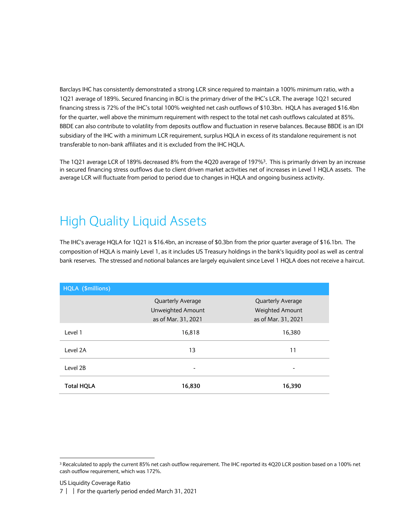Barclays IHC has consistently demonstrated a strong LCR since required to maintain a 100% minimum ratio, with a 1Q21 average of 189%. Secured financing in BCI is the primary driver of the IHC's LCR. The average 1Q21 secured financing stress is 72% of the IHC's total 100% weighted net cash outflows of \$10.3bn. HQLA has averaged \$16.4bn for the quarter, well above the minimum requirement with respect to the total net cash outflows calculated at 85%. BBDE can also contribute to volatility from deposits outflow and fluctuation in reserve balances. Because BBDE is an IDI subsidiary of the IHC with a minimum LCR requirement, surplus HQLA in excess of its standalone requirement is not transferable to non-bank affiliates and it is excluded from the IHC HQLA.

The 1Q21 average LCR of 189% decreased 8% from the 4Q20 average of 197%<sup>3</sup> . This is primarily driven by an increase in secured financing stress outflows due to client driven market activities net of increases in Level 1 HQLA assets. The average LCR will fluctuate from period to period due to changes in HQLA and ongoing business activity.

#### <span id="page-6-0"></span>High Quality Liquid Assets

The IHC's average HQLA for 1Q21 is \$16.4bn, an increase of \$0.3bn from the prior quarter average of \$16.1bn. The composition of HQLA is mainly Level 1, as it includes US Treasury holdings in the bank's liquidity pool as well as central bank reserves. The stressed and notional balances are largely equivalent since Level 1 HQLA does not receive a haircut.

| HQLA (\$millions) |                          |                          |
|-------------------|--------------------------|--------------------------|
|                   | <b>Quarterly Average</b> | <b>Quarterly Average</b> |
|                   | Unweighted Amount        | Weighted Amount          |
|                   | as of Mar. 31, 2021      | as of Mar. 31, 2021      |
| Level 1           | 16,818                   | 16,380                   |
| Level 2A          | 13                       | 11                       |
| Level 2B          |                          |                          |
| <b>Total HQLA</b> | 16,830                   | 16,390                   |

1

<sup>3</sup> Recalculated to apply the current 85% net cash outflow requirement. The IHC reported its 4Q20 LCR position based on a 100% net cash outflow requirement, which was 172%.

US Liquidity Coverage Ratio

<sup>7</sup> | | For the quarterly period ended March 31, 2021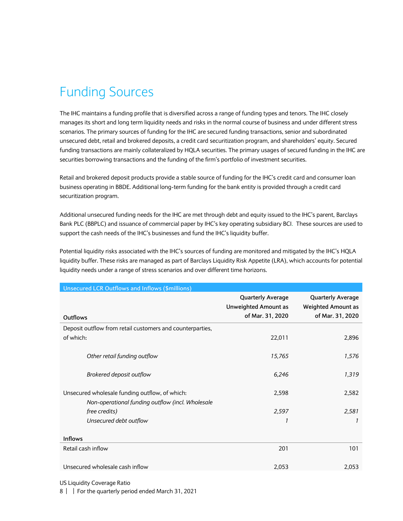### <span id="page-7-0"></span>Funding Sources

The IHC maintains a funding profile that is diversified across a range of funding types and tenors. The IHC closely manages its short and long term liquidity needs and risks in the normal course of business and under different stress scenarios. The primary sources of funding for the IHC are secured funding transactions, senior and subordinated unsecured debt, retail and brokered deposits, a credit card securitization program, and shareholders' equity. Secured funding transactions are mainly collateralized by HQLA securities. The primary usages of secured funding in the IHC are securities borrowing transactions and the funding of the firm's portfolio of investment securities.

Retail and brokered deposit products provide a stable source of funding for the IHC's credit card and consumer loan business operating in BBDE. Additional long-term funding for the bank entity is provided through a credit card securitization program.

Additional unsecured funding needs for the IHC are met through debt and equity issued to the IHC's parent, Barclays Bank PLC (BBPLC) and issuance of commercial paper by IHC's key operating subsidiary BCI. These sources are used to support the cash needs of the IHC's businesses and fund the IHC's liquidity buffer.

Potential liquidity risks associated with the IHC's sources of funding are monitored and mitigated by the IHC's HQLA liquidity buffer. These risks are managed as part of Barclays Liquidity Risk Appetite (LRA), which accounts for potential liquidity needs under a range of stress scenarios and over different time horizons.

| <b>Unsecured LCR Outflows and Inflows (\$millions)</b>                                             |                                                                             |                                                                           |
|----------------------------------------------------------------------------------------------------|-----------------------------------------------------------------------------|---------------------------------------------------------------------------|
| <b>Outflows</b>                                                                                    | <b>Quarterly Average</b><br><b>Unweighted Amount as</b><br>of Mar. 31, 2020 | <b>Quarterly Average</b><br><b>Weighted Amount as</b><br>of Mar. 31, 2020 |
| Deposit outflow from retail customers and counterparties,                                          |                                                                             |                                                                           |
| of which:                                                                                          | 22,011                                                                      | 2,896                                                                     |
| Other retail funding outflow                                                                       | 15,765                                                                      | 1,576                                                                     |
| Brokered deposit outflow                                                                           | 6,246                                                                       | 1,319                                                                     |
| Unsecured wholesale funding outflow, of which:<br>Non-operational funding outflow (incl. Wholesale | 2,598                                                                       | 2,582                                                                     |
| free credits)                                                                                      | 2,597                                                                       | 2,581                                                                     |
| Unsecured debt outflow                                                                             | 1                                                                           | 1                                                                         |
| <b>Inflows</b>                                                                                     |                                                                             |                                                                           |
| Retail cash inflow                                                                                 | 201                                                                         | 101                                                                       |
| Unsecured wholesale cash inflow                                                                    | 2,053                                                                       | 2,053                                                                     |

US Liquidity Coverage Ratio

8 | | For the quarterly period ended March 31, 2021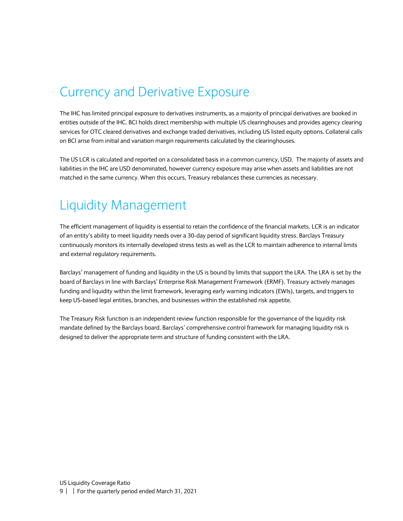#### <span id="page-8-0"></span>Currency and Derivative Exposure

The IHC has limited principal exposure to derivatives instruments, as a majority of principal derivatives are booked in entities outside of the IHC. BCI holds direct membership with multiple US clearinghouses and provides agency clearing services for OTC cleared derivatives and exchange traded derivatives, including US listed equity options. Collateral calls on BCI arise from initial and variation margin requirements calculated by the clearinghouses.

The US LCR is calculated and reported on a consolidated basis in a common currency, USD. The majority of assets and liabilities in the IHC are USD denominated, however currency exposure may arise when assets and liabilities are not matched in the same currency. When this occurs, Treasury rebalances these currencies as necessary.

#### <span id="page-8-1"></span>Liquidity Management

The efficient management of liquidity is essential to retain the confidence of the financial markets. LCR is an indicator of an entity's ability to meet liquidity needs over a 30-day period of significant liquidity stress. Barclays Treasury continuously monitors its internally developed stress tests as well as the LCR to maintain adherence to internal limits and external regulatory requirements.

Barclays' management of funding and liquidity in the US is bound by limits that support the LRA. The LRA is set by the board of Barclays in line with Barclays' Enterprise Risk Management Framework (ERMF). Treasury actively manages funding and liquidity within the limit framework, leveraging early warning indicators (EWIs), targets, and triggers to keep US-based legal entities, branches, and businesses within the established risk appetite.

The Treasury Risk function is an independent review function responsible for the governance of the liquidity risk mandate defined by the Barclays board. Barclays' comprehensive control framework for managing liquidity risk is designed to deliver the appropriate term and structure of funding consistent with the LRA.